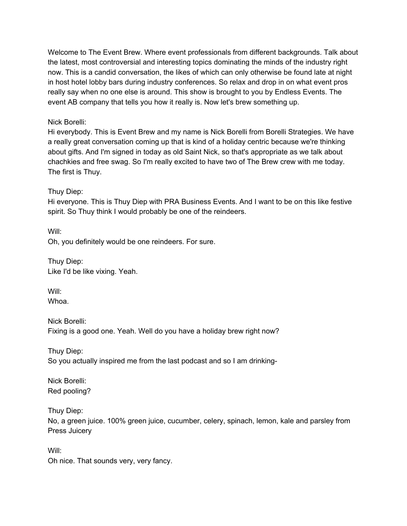Welcome to The Event Brew. Where event professionals from different backgrounds. Talk about the latest, most controversial and interesting topics dominating the minds of the industry right now. This is a candid conversation, the likes of which can only otherwise be found late at night in host hotel lobby bars during industry conferences. So relax and drop in on what event pros really say when no one else is around. This show is brought to you by Endless Events. The event AB company that tells you how it really is. Now let's brew something up.

### Nick Borelli:

Hi everybody. This is Event Brew and my name is Nick Borelli from Borelli Strategies. We have a really great conversation coming up that is kind of a holiday centric because we're thinking about gifts. And I'm signed in today as old Saint Nick, so that's appropriate as we talk about chachkies and free swag. So I'm really excited to have two of The Brew crew with me today. The first is Thuy.

#### Thuy Diep:

Hi everyone. This is Thuy Diep with PRA Business Events. And I want to be on this like festive spirit. So Thuy think I would probably be one of the reindeers.

Will: Oh, you definitely would be one reindeers. For sure.

Thuy Diep: Like I'd be like vixing. Yeah.

Will: Whoa.

Nick Borelli: Fixing is a good one. Yeah. Well do you have a holiday brew right now?

Thuy Diep: So you actually inspired me from the last podcast and so I am drinking-

Nick Borelli: Red pooling?

Thuy Diep: No, a green juice. 100% green juice, cucumber, celery, spinach, lemon, kale and parsley from Press Juicery

Will: Oh nice. That sounds very, very fancy.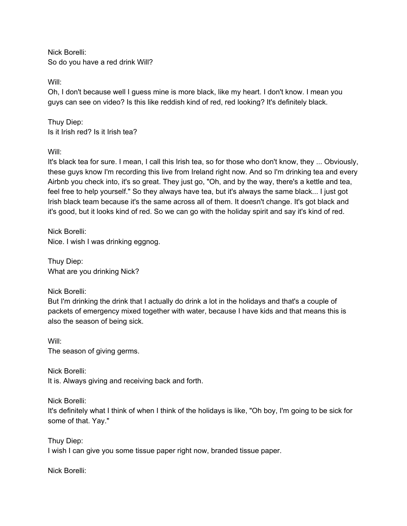Nick Borelli: So do you have a red drink Will?

Will:

Oh, I don't because well I guess mine is more black, like my heart. I don't know. I mean you guys can see on video? Is this like reddish kind of red, red looking? It's definitely black.

Thuy Diep: Is it Irish red? Is it Irish tea?

Will:

It's black tea for sure. I mean, I call this Irish tea, so for those who don't know, they ... Obviously, these guys know I'm recording this live from Ireland right now. And so I'm drinking tea and every Airbnb you check into, it's so great. They just go, "Oh, and by the way, there's a kettle and tea, feel free to help yourself." So they always have tea, but it's always the same black... I just got Irish black team because it's the same across all of them. It doesn't change. It's got black and it's good, but it looks kind of red. So we can go with the holiday spirit and say it's kind of red.

Nick Borelli: Nice. I wish I was drinking eggnog.

Thuy Diep: What are you drinking Nick?

Nick Borelli:

But I'm drinking the drink that I actually do drink a lot in the holidays and that's a couple of packets of emergency mixed together with water, because I have kids and that means this is also the season of being sick.

Will: The season of giving germs.

Nick Borelli: It is. Always giving and receiving back and forth.

Nick Borelli:

It's definitely what I think of when I think of the holidays is like, "Oh boy, I'm going to be sick for some of that. Yay."

Thuy Diep: I wish I can give you some tissue paper right now, branded tissue paper.

Nick Borelli: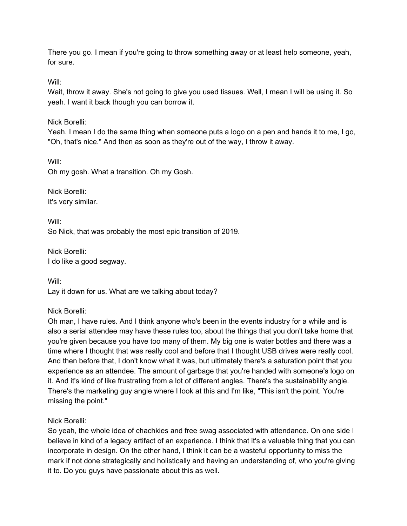There you go. I mean if you're going to throw something away or at least help someone, yeah, for sure.

Will:

Wait, throw it away. She's not going to give you used tissues. Well, I mean I will be using it. So yeah. I want it back though you can borrow it.

Nick Borelli:

Yeah. I mean I do the same thing when someone puts a logo on a pen and hands it to me, I go, "Oh, that's nice." And then as soon as they're out of the way, I throw it away.

Will:

Oh my gosh. What a transition. Oh my Gosh.

Nick Borelli: It's very similar.

Will: So Nick, that was probably the most epic transition of 2019.

Nick Borelli: I do like a good segway.

Will: Lay it down for us. What are we talking about today?

Nick Borelli:

Oh man, I have rules. And I think anyone who's been in the events industry for a while and is also a serial attendee may have these rules too, about the things that you don't take home that you're given because you have too many of them. My big one is water bottles and there was a time where I thought that was really cool and before that I thought USB drives were really cool. And then before that, I don't know what it was, but ultimately there's a saturation point that you experience as an attendee. The amount of garbage that you're handed with someone's logo on it. And it's kind of like frustrating from a lot of different angles. There's the sustainability angle. There's the marketing guy angle where I look at this and I'm like, "This isn't the point. You're missing the point."

Nick Borelli:

So yeah, the whole idea of chachkies and free swag associated with attendance. On one side I believe in kind of a legacy artifact of an experience. I think that it's a valuable thing that you can incorporate in design. On the other hand, I think it can be a wasteful opportunity to miss the mark if not done strategically and holistically and having an understanding of, who you're giving it to. Do you guys have passionate about this as well.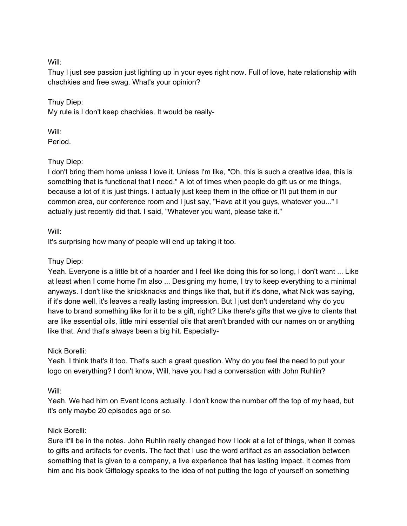Will:

Thuy I just see passion just lighting up in your eyes right now. Full of love, hate relationship with chachkies and free swag. What's your opinion?

Thuy Diep: My rule is I don't keep chachkies. It would be really-

Will:

Period.

## Thuy Diep:

I don't bring them home unless I love it. Unless I'm like, "Oh, this is such a creative idea, this is something that is functional that I need." A lot of times when people do gift us or me things, because a lot of it is just things. I actually just keep them in the office or I'll put them in our common area, our conference room and I just say, "Have at it you guys, whatever you..." I actually just recently did that. I said, "Whatever you want, please take it."

## Will:

It's surprising how many of people will end up taking it too.

# Thuy Diep:

Yeah. Everyone is a little bit of a hoarder and I feel like doing this for so long, I don't want ... Like at least when I come home I'm also ... Designing my home, I try to keep everything to a minimal anyways. I don't like the knickknacks and things like that, but if it's done, what Nick was saying, if it's done well, it's leaves a really lasting impression. But I just don't understand why do you have to brand something like for it to be a gift, right? Like there's gifts that we give to clients that are like essential oils, little mini essential oils that aren't branded with our names on or anything like that. And that's always been a big hit. Especially-

## Nick Borelli:

Yeah. I think that's it too. That's such a great question. Why do you feel the need to put your logo on everything? I don't know, Will, have you had a conversation with John Ruhlin?

# Will:

Yeah. We had him on Event Icons actually. I don't know the number off the top of my head, but it's only maybe 20 episodes ago or so.

# Nick Borelli:

Sure it'll be in the notes. John Ruhlin really changed how I look at a lot of things, when it comes to gifts and artifacts for events. The fact that I use the word artifact as an association between something that is given to a company, a live experience that has lasting impact. It comes from him and his book Giftology speaks to the idea of not putting the logo of yourself on something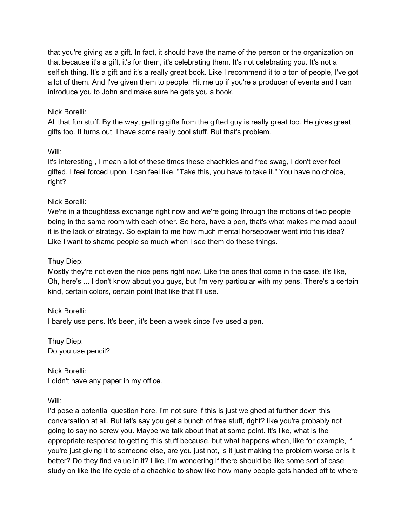that you're giving as a gift. In fact, it should have the name of the person or the organization on that because it's a gift, it's for them, it's celebrating them. It's not celebrating you. It's not a selfish thing. It's a gift and it's a really great book. Like I recommend it to a ton of people, I've got a lot of them. And I've given them to people. Hit me up if you're a producer of events and I can introduce you to John and make sure he gets you a book.

### Nick Borelli:

All that fun stuff. By the way, getting gifts from the gifted guy is really great too. He gives great gifts too. It turns out. I have some really cool stuff. But that's problem.

#### Will:

It's interesting , I mean a lot of these times these chachkies and free swag, I don't ever feel gifted. I feel forced upon. I can feel like, "Take this, you have to take it." You have no choice, right?

## Nick Borelli:

We're in a thoughtless exchange right now and we're going through the motions of two people being in the same room with each other. So here, have a pen, that's what makes me mad about it is the lack of strategy. So explain to me how much mental horsepower went into this idea? Like I want to shame people so much when I see them do these things.

### Thuy Diep:

Mostly they're not even the nice pens right now. Like the ones that come in the case, it's like, Oh, here's ... I don't know about you guys, but I'm very particular with my pens. There's a certain kind, certain colors, certain point that like that I'll use.

Nick Borelli: I barely use pens. It's been, it's been a week since I've used a pen.

Thuy Diep: Do you use pencil?

Nick Borelli: I didn't have any paper in my office.

#### Will:

I'd pose a potential question here. I'm not sure if this is just weighed at further down this conversation at all. But let's say you get a bunch of free stuff, right? like you're probably not going to say no screw you. Maybe we talk about that at some point. It's like, what is the appropriate response to getting this stuff because, but what happens when, like for example, if you're just giving it to someone else, are you just not, is it just making the problem worse or is it better? Do they find value in it? Like, I'm wondering if there should be like some sort of case study on like the life cycle of a chachkie to show like how many people gets handed off to where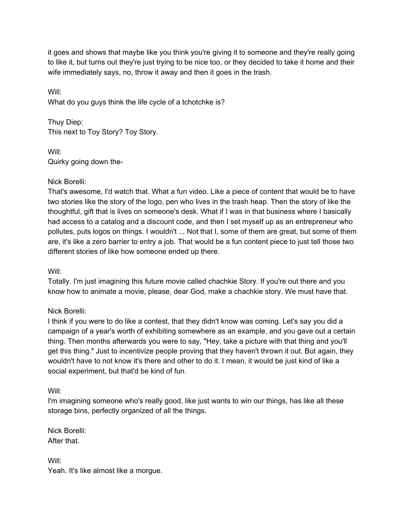it goes and shows that maybe like you think you're giving it to someone and they're really going to like it, but turns out they're just trying to be nice too, or they decided to take it home and their wife immediately says, no, throw it away and then it goes in the trash.

Will: What do you guys think the life cycle of a tchotchke is?

Thuy Diep: This next to Toy Story? Toy Story.

Will: Quirky going down the-

# Nick Borelli:

That's awesome, I'd watch that. What a fun video. Like a piece of content that would be to have two stories like the story of the logo, pen who lives in the trash heap. Then the story of like the thoughtful, gift that is lives on someone's desk. What if I was in that business where I basically had access to a catalog and a discount code, and then I set myself up as an entrepreneur who pollutes, puts logos on things. I wouldn't ... Not that I, some of them are great, but some of them are, it's like a zero barrier to entry a job. That would be a fun content piece to just tell those two different stories of like how someone ended up there.

Will:

Totally. I'm just imagining this future movie called chachkie Story. If you're out there and you know how to animate a movie, please, dear God, make a chachkie story. We must have that.

# Nick Borelli:

I think if you were to do like a contest, that they didn't know was coming. Let's say you did a campaign of a year's worth of exhibiting somewhere as an example, and you gave out a certain thing. Then months afterwards you were to say, "Hey, take a picture with that thing and you'll get this thing." Just to incentivize people proving that they haven't thrown it out. But again, they wouldn't have to not know it's there and other to do it. I mean, it would be just kind of like a social experiment, but that'd be kind of fun.

Will:

I'm imagining someone who's really good, like just wants to win our things, has like all these storage bins, perfectly organized of all the things.

Nick Borelli: After that.

Will: Yeah. It's like almost like a morgue.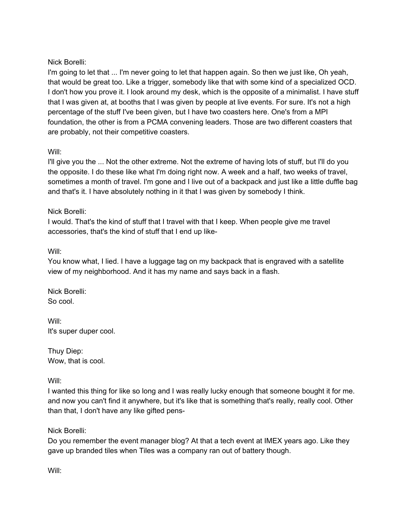## Nick Borelli:

I'm going to let that ... I'm never going to let that happen again. So then we just like, Oh yeah, that would be great too. Like a trigger, somebody like that with some kind of a specialized OCD. I don't how you prove it. I look around my desk, which is the opposite of a minimalist. I have stuff that I was given at, at booths that I was given by people at live events. For sure. It's not a high percentage of the stuff I've been given, but I have two coasters here. One's from a MPI foundation, the other is from a PCMA convening leaders. Those are two different coasters that are probably, not their competitive coasters.

## Will:

I'll give you the ... Not the other extreme. Not the extreme of having lots of stuff, but I'll do you the opposite. I do these like what I'm doing right now. A week and a half, two weeks of travel, sometimes a month of travel. I'm gone and I live out of a backpack and just like a little duffle bag and that's it. I have absolutely nothing in it that I was given by somebody I think.

## Nick Borelli:

I would. That's the kind of stuff that I travel with that I keep. When people give me travel accessories, that's the kind of stuff that I end up like-

## Will:

You know what, I lied. I have a luggage tag on my backpack that is engraved with a satellite view of my neighborhood. And it has my name and says back in a flash.

Nick Borelli: So cool.

Will: It's super duper cool.

Thuy Diep: Wow, that is cool.

## Will:

I wanted this thing for like so long and I was really lucky enough that someone bought it for me. and now you can't find it anywhere, but it's like that is something that's really, really cool. Other than that, I don't have any like gifted pens-

## Nick Borelli:

Do you remember the event manager blog? At that a tech event at IMEX years ago. Like they gave up branded tiles when Tiles was a company ran out of battery though.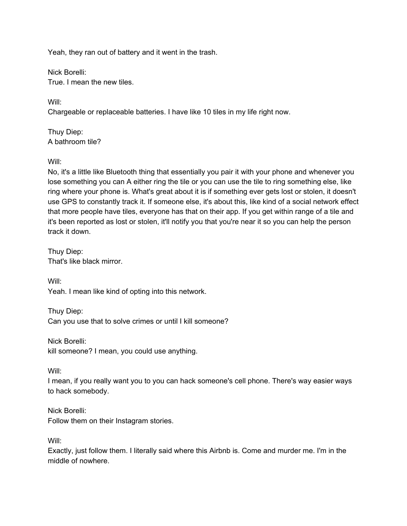Yeah, they ran out of battery and it went in the trash.

Nick Borelli: True. I mean the new tiles.

Will: Chargeable or replaceable batteries. I have like 10 tiles in my life right now.

Thuy Diep: A bathroom tile?

Will:

No, it's a little like Bluetooth thing that essentially you pair it with your phone and whenever you lose something you can A either ring the tile or you can use the tile to ring something else, like ring where your phone is. What's great about it is if something ever gets lost or stolen, it doesn't use GPS to constantly track it. If someone else, it's about this, like kind of a social network effect that more people have tiles, everyone has that on their app. If you get within range of a tile and it's been reported as lost or stolen, it'll notify you that you're near it so you can help the person track it down.

Thuy Diep: That's like black mirror.

Will:

Yeah. I mean like kind of opting into this network.

Thuy Diep: Can you use that to solve crimes or until I kill someone?

Nick Borelli: kill someone? I mean, you could use anything.

Will:

I mean, if you really want you to you can hack someone's cell phone. There's way easier ways to hack somebody.

Nick Borelli: Follow them on their Instagram stories.

Will:

Exactly, just follow them. I literally said where this Airbnb is. Come and murder me. I'm in the middle of nowhere.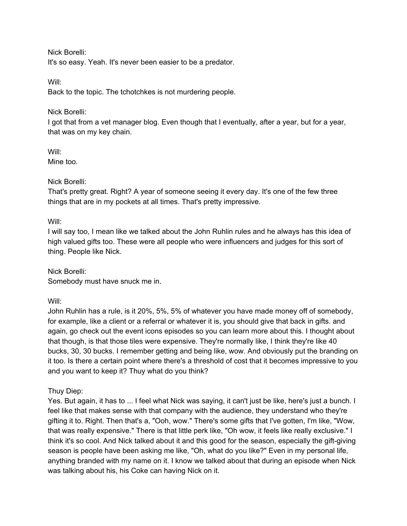Nick Borelli:

It's so easy. Yeah. It's never been easier to be a predator.

Will:

Back to the topic. The tchotchkes is not murdering people.

### Nick Borelli:

I got that from a vet manager blog. Even though that I eventually, after a year, but for a year, that was on my key chain.

#### Will:

Mine too.

## Nick Borelli:

That's pretty great. Right? A year of someone seeing it every day. It's one of the few three things that are in my pockets at all times. That's pretty impressive.

Will:

I will say too, I mean like we talked about the John Ruhlin rules and he always has this idea of high valued gifts too. These were all people who were influencers and judges for this sort of thing. People like Nick.

Nick Borelli: Somebody must have snuck me in.

Will:

John Ruhlin has a rule, is it 20%, 5%, 5% of whatever you have made money off of somebody, for example, like a client or a referral or whatever it is, you should give that back in gifts. and again, go check out the event icons episodes so you can learn more about this. I thought about that though, is that those tiles were expensive. They're normally like, I think they're like 40 bucks, 30, 30 bucks. I remember getting and being like, wow. And obviously put the branding on it too. Is there a certain point where there's a threshold of cost that it becomes impressive to you and you want to keep it? Thuy what do you think?

Thuy Diep:

Yes. But again, it has to ... I feel what Nick was saying, it can't just be like, here's just a bunch. I feel like that makes sense with that company with the audience, they understand who they're gifting it to. Right. Then that's a, "Ooh, wow." There's some gifts that I've gotten, I'm like, "Wow, that was really expensive." There is that little perk like, "Oh wow, it feels like really exclusive." I think it's so cool. And Nick talked about it and this good for the season, especially the gift-giving season is people have been asking me like, "Oh, what do you like?" Even in my personal life, anything branded with my name on it. I know we talked about that during an episode when Nick was talking about his, his Coke can having Nick on it.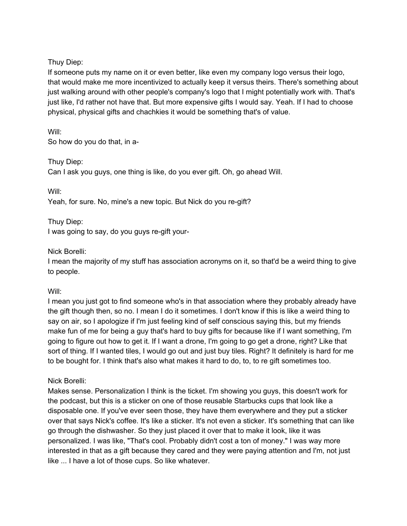Thuy Diep:

If someone puts my name on it or even better, like even my company logo versus their logo, that would make me more incentivized to actually keep it versus theirs. There's something about just walking around with other people's company's logo that I might potentially work with. That's just like, I'd rather not have that. But more expensive gifts I would say. Yeah. If I had to choose physical, physical gifts and chachkies it would be something that's of value.

Will: So how do you do that, in a-

Thuy Diep:

Can I ask you guys, one thing is like, do you ever gift. Oh, go ahead Will.

Will:

Yeah, for sure. No, mine's a new topic. But Nick do you re-gift?

Thuy Diep:

I was going to say, do you guys re-gift your-

## Nick Borelli:

I mean the majority of my stuff has association acronyms on it, so that'd be a weird thing to give to people.

Will:

I mean you just got to find someone who's in that association where they probably already have the gift though then, so no. I mean I do it sometimes. I don't know if this is like a weird thing to say on air, so I apologize if I'm just feeling kind of self conscious saying this, but my friends make fun of me for being a guy that's hard to buy gifts for because like if I want something, I'm going to figure out how to get it. If I want a drone, I'm going to go get a drone, right? Like that sort of thing. If I wanted tiles, I would go out and just buy tiles. Right? It definitely is hard for me to be bought for. I think that's also what makes it hard to do, to, to re gift sometimes too.

# Nick Borelli:

Makes sense. Personalization I think is the ticket. I'm showing you guys, this doesn't work for the podcast, but this is a sticker on one of those reusable Starbucks cups that look like a disposable one. If you've ever seen those, they have them everywhere and they put a sticker over that says Nick's coffee. It's like a sticker. It's not even a sticker. It's something that can like go through the dishwasher. So they just placed it over that to make it look, like it was personalized. I was like, "That's cool. Probably didn't cost a ton of money." I was way more interested in that as a gift because they cared and they were paying attention and I'm, not just like ... I have a lot of those cups. So like whatever.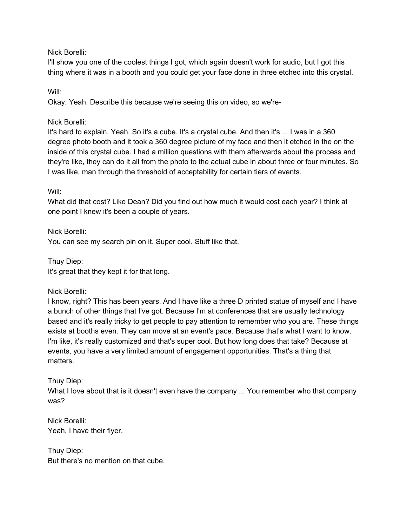### Nick Borelli:

I'll show you one of the coolest things I got, which again doesn't work for audio, but I got this thing where it was in a booth and you could get your face done in three etched into this crystal.

Will:

Okay. Yeah. Describe this because we're seeing this on video, so we're-

### Nick Borelli:

It's hard to explain. Yeah. So it's a cube. It's a crystal cube. And then it's ... I was in a 360 degree photo booth and it took a 360 degree picture of my face and then it etched in the on the inside of this crystal cube. I had a million questions with them afterwards about the process and they're like, they can do it all from the photo to the actual cube in about three or four minutes. So I was like, man through the threshold of acceptability for certain tiers of events.

#### Will:

What did that cost? Like Dean? Did you find out how much it would cost each year? I think at one point I knew it's been a couple of years.

Nick Borelli: You can see my search pin on it. Super cool. Stuff like that.

Thuy Diep: It's great that they kept it for that long.

Nick Borelli:

I know, right? This has been years. And I have like a three D printed statue of myself and I have a bunch of other things that I've got. Because I'm at conferences that are usually technology based and it's really tricky to get people to pay attention to remember who you are. These things exists at booths even. They can move at an event's pace. Because that's what I want to know. I'm like, it's really customized and that's super cool. But how long does that take? Because at events, you have a very limited amount of engagement opportunities. That's a thing that matters.

## Thuy Diep:

What I love about that is it doesn't even have the company ... You remember who that company was?

Nick Borelli: Yeah, I have their flyer.

Thuy Diep: But there's no mention on that cube.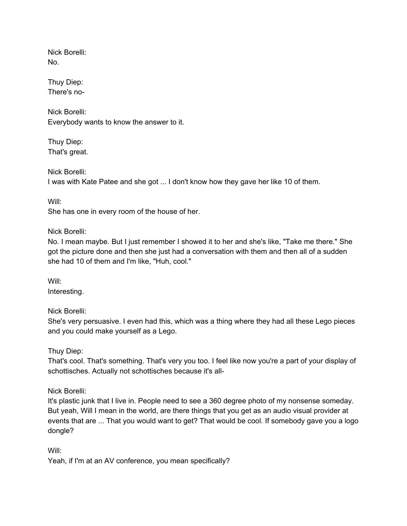Nick Borelli: No.

Thuy Diep: There's no-

Nick Borelli: Everybody wants to know the answer to it.

Thuy Diep: That's great.

Nick Borelli: I was with Kate Patee and she got ... I don't know how they gave her like 10 of them.

Will:

She has one in every room of the house of her.

Nick Borelli:

No. I mean maybe. But I just remember I showed it to her and she's like, "Take me there." She got the picture done and then she just had a conversation with them and then all of a sudden she had 10 of them and I'm like, "Huh, cool."

Will: Interesting.

Nick Borelli:

She's very persuasive. I even had this, which was a thing where they had all these Lego pieces and you could make yourself as a Lego.

Thuy Diep:

That's cool. That's something. That's very you too. I feel like now you're a part of your display of schottisches. Actually not schottisches because it's all-

Nick Borelli:

It's plastic junk that I live in. People need to see a 360 degree photo of my nonsense someday. But yeah, Will I mean in the world, are there things that you get as an audio visual provider at events that are ... That you would want to get? That would be cool. If somebody gave you a logo dongle?

Will:

Yeah, if I'm at an AV conference, you mean specifically?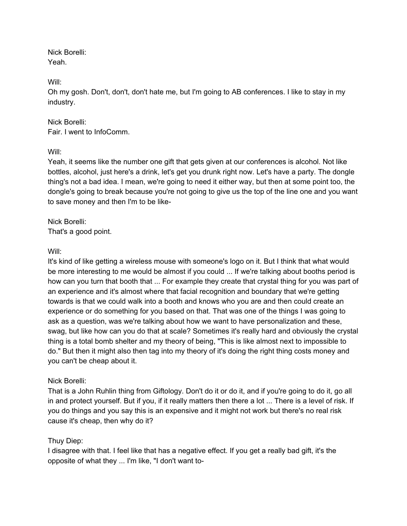Nick Borelli: Yeah.

Will:

Oh my gosh. Don't, don't, don't hate me, but I'm going to AB conferences. I like to stay in my industry.

## Nick Borelli: Fair. I went to InfoComm.

Will:

Yeah, it seems like the number one gift that gets given at our conferences is alcohol. Not like bottles, alcohol, just here's a drink, let's get you drunk right now. Let's have a party. The dongle thing's not a bad idea. I mean, we're going to need it either way, but then at some point too, the dongle's going to break because you're not going to give us the top of the line one and you want to save money and then I'm to be like-

Nick Borelli: That's a good point.

## Will:

It's kind of like getting a wireless mouse with someone's logo on it. But I think that what would be more interesting to me would be almost if you could ... If we're talking about booths period is how can you turn that booth that ... For example they create that crystal thing for you was part of an experience and it's almost where that facial recognition and boundary that we're getting towards is that we could walk into a booth and knows who you are and then could create an experience or do something for you based on that. That was one of the things I was going to ask as a question, was we're talking about how we want to have personalization and these, swag, but like how can you do that at scale? Sometimes it's really hard and obviously the crystal thing is a total bomb shelter and my theory of being, "This is like almost next to impossible to do." But then it might also then tag into my theory of it's doing the right thing costs money and you can't be cheap about it.

# Nick Borelli:

That is a John Ruhlin thing from Giftology. Don't do it or do it, and if you're going to do it, go all in and protect yourself. But if you, if it really matters then there a lot ... There is a level of risk. If you do things and you say this is an expensive and it might not work but there's no real risk cause it's cheap, then why do it?

## Thuy Diep:

I disagree with that. I feel like that has a negative effect. If you get a really bad gift, it's the opposite of what they ... I'm like, "I don't want to-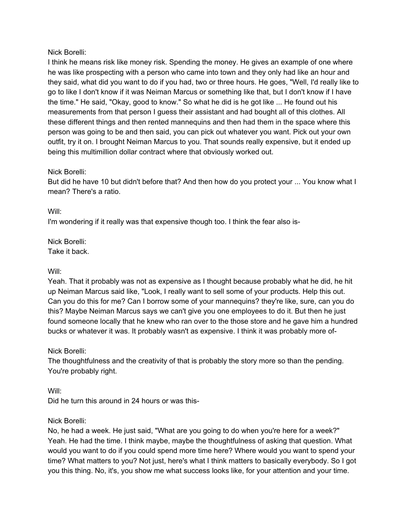## Nick Borelli:

I think he means risk like money risk. Spending the money. He gives an example of one where he was like prospecting with a person who came into town and they only had like an hour and they said, what did you want to do if you had, two or three hours. He goes, "Well, I'd really like to go to like I don't know if it was Neiman Marcus or something like that, but I don't know if I have the time." He said, "Okay, good to know." So what he did is he got like ... He found out his measurements from that person I guess their assistant and had bought all of this clothes. All these different things and then rented mannequins and then had them in the space where this person was going to be and then said, you can pick out whatever you want. Pick out your own outfit, try it on. I brought Neiman Marcus to you. That sounds really expensive, but it ended up being this multimillion dollar contract where that obviously worked out.

#### Nick Borelli:

But did he have 10 but didn't before that? And then how do you protect your ... You know what I mean? There's a ratio.

Will:

I'm wondering if it really was that expensive though too. I think the fear also is-

Nick Borelli: Take it back.

Will:

Yeah. That it probably was not as expensive as I thought because probably what he did, he hit up Neiman Marcus said like, "Look, I really want to sell some of your products. Help this out. Can you do this for me? Can I borrow some of your mannequins? they're like, sure, can you do this? Maybe Neiman Marcus says we can't give you one employees to do it. But then he just found someone locally that he knew who ran over to the those store and he gave him a hundred bucks or whatever it was. It probably wasn't as expensive. I think it was probably more of-

Nick Borelli:

The thoughtfulness and the creativity of that is probably the story more so than the pending. You're probably right.

Will:

Did he turn this around in 24 hours or was this-

#### Nick Borelli:

No, he had a week. He just said, "What are you going to do when you're here for a week?" Yeah. He had the time. I think maybe, maybe the thoughtfulness of asking that question. What would you want to do if you could spend more time here? Where would you want to spend your time? What matters to you? Not just, here's what I think matters to basically everybody. So I got you this thing. No, it's, you show me what success looks like, for your attention and your time.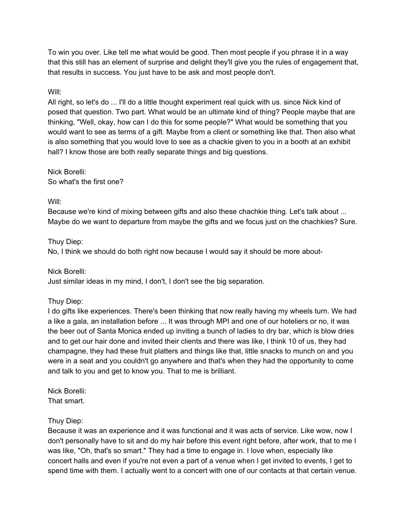To win you over. Like tell me what would be good. Then most people if you phrase it in a way that this still has an element of surprise and delight they'll give you the rules of engagement that, that results in success. You just have to be ask and most people don't.

#### Will:

All right, so let's do ... I'll do a little thought experiment real quick with us. since Nick kind of posed that question. Two part. What would be an ultimate kind of thing? People maybe that are thinking, "Well, okay, how can I do this for some people?" What would be something that you would want to see as terms of a gift. Maybe from a client or something like that. Then also what is also something that you would love to see as a chackie given to you in a booth at an exhibit hall? I know those are both really separate things and big questions.

Nick Borelli: So what's the first one?

#### Will:

Because we're kind of mixing between gifts and also these chachkie thing. Let's talk about ... Maybe do we want to departure from maybe the gifts and we focus just on the chachkies? Sure.

## Thuy Diep:

No, I think we should do both right now because I would say it should be more about-

Nick Borelli:

Just similar ideas in my mind, I don't, I don't see the big separation.

## Thuy Diep:

I do gifts like experiences. There's been thinking that now really having my wheels turn. We had a like a gala, an installation before ... It was through MPI and one of our hoteliers or no, it was the beer out of Santa Monica ended up inviting a bunch of ladies to dry bar, which is blow dries and to get our hair done and invited their clients and there was like, I think 10 of us, they had champagne, they had these fruit platters and things like that, little snacks to munch on and you were in a seat and you couldn't go anywhere and that's when they had the opportunity to come and talk to you and get to know you. That to me is brilliant.

Nick Borelli: That smart.

#### Thuy Diep:

Because it was an experience and it was functional and it was acts of service. Like wow, now I don't personally have to sit and do my hair before this event right before, after work, that to me I was like, "Oh, that's so smart." They had a time to engage in. I love when, especially like concert halls and even if you're not even a part of a venue when I get invited to events, I get to spend time with them. I actually went to a concert with one of our contacts at that certain venue.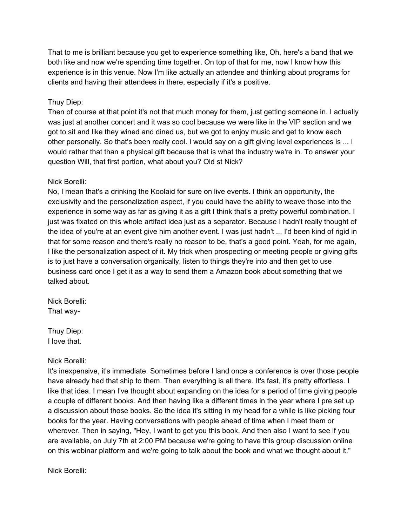That to me is brilliant because you get to experience something like, Oh, here's a band that we both like and now we're spending time together. On top of that for me, now I know how this experience is in this venue. Now I'm like actually an attendee and thinking about programs for clients and having their attendees in there, especially if it's a positive.

### Thuy Diep:

Then of course at that point it's not that much money for them, just getting someone in. I actually was just at another concert and it was so cool because we were like in the VIP section and we got to sit and like they wined and dined us, but we got to enjoy music and get to know each other personally. So that's been really cool. I would say on a gift giving level experiences is ... I would rather that than a physical gift because that is what the industry we're in. To answer your question Will, that first portion, what about you? Old st Nick?

#### Nick Borelli:

No, I mean that's a drinking the Koolaid for sure on live events. I think an opportunity, the exclusivity and the personalization aspect, if you could have the ability to weave those into the experience in some way as far as giving it as a gift I think that's a pretty powerful combination. I just was fixated on this whole artifact idea just as a separator. Because I hadn't really thought of the idea of you're at an event give him another event. I was just hadn't ... I'd been kind of rigid in that for some reason and there's really no reason to be, that's a good point. Yeah, for me again, I like the personalization aspect of it. My trick when prospecting or meeting people or giving gifts is to just have a conversation organically, listen to things they're into and then get to use business card once I get it as a way to send them a Amazon book about something that we talked about.

Nick Borelli: That way-

Thuy Diep: I love that.

#### Nick Borelli:

It's inexpensive, it's immediate. Sometimes before I land once a conference is over those people have already had that ship to them. Then everything is all there. It's fast, it's pretty effortless. I like that idea. I mean I've thought about expanding on the idea for a period of time giving people a couple of different books. And then having like a different times in the year where I pre set up a discussion about those books. So the idea it's sitting in my head for a while is like picking four books for the year. Having conversations with people ahead of time when I meet them or wherever. Then in saying, "Hey, I want to get you this book. And then also I want to see if you are available, on July 7th at 2:00 PM because we're going to have this group discussion online on this webinar platform and we're going to talk about the book and what we thought about it."

Nick Borelli: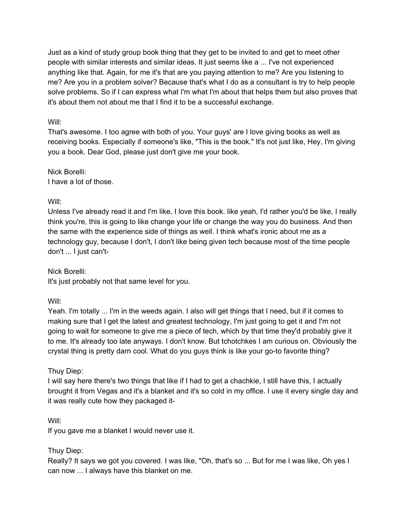Just as a kind of study group book thing that they get to be invited to and get to meet other people with similar interests and similar ideas. It just seems like a ... I've not experienced anything like that. Again, for me it's that are you paying attention to me? Are you listening to me? Are you in a problem solver? Because that's what I do as a consultant is try to help people solve problems. So if I can express what I'm what I'm about that helps them but also proves that it's about them not about me that I find it to be a successful exchange.

## Will:

That's awesome. I too agree with both of you. Your guys' are I love giving books as well as receiving books. Especially if someone's like, "This is the book." It's not just like, Hey, I'm giving you a book. Dear God, please just don't give me your book.

Nick Borelli: I have a lot of those.

## Will:

Unless I've already read it and I'm like, I love this book. like yeah, I'd rather you'd be like, I really think you're, this is going to like change your life or change the way you do business. And then the same with the experience side of things as well. I think what's ironic about me as a technology guy, because I don't, I don't like being given tech because most of the time people don't ... I just can't-

Nick Borelli:

It's just probably not that same level for you.

Will:

Yeah. I'm totally ... I'm in the weeds again. I also will get things that I need, but if it comes to making sure that I get the latest and greatest technology, I'm just going to get it and I'm not going to wait for someone to give me a piece of tech, which by that time they'd probably give it to me. It's already too late anyways. I don't know. But tchotchkes I am curious on. Obviously the crystal thing is pretty darn cool. What do you guys think is like your go-to favorite thing?

# Thuy Diep:

I will say here there's two things that like if I had to get a chachkie, I still have this, I actually brought it from Vegas and it's a blanket and it's so cold in my office. I use it every single day and it was really cute how they packaged it-

Will:

If you gave me a blanket I would never use it.

# Thuy Diep:

Really? It says we got you covered. I was like, "Oh, that's so ... But for me I was like, Oh yes I can now ... I always have this blanket on me.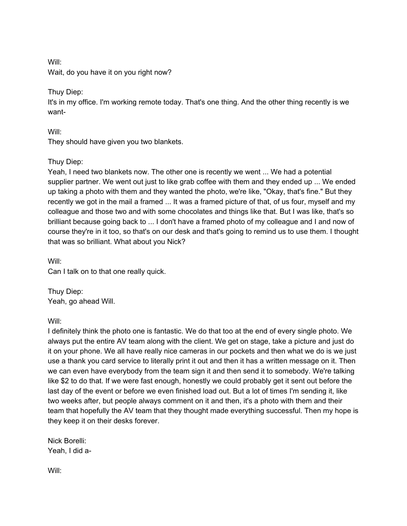Will:

Wait, do you have it on you right now?

Thuy Diep:

It's in my office. I'm working remote today. That's one thing. And the other thing recently is we want-

Will:

They should have given you two blankets.

## Thuy Diep:

Yeah, I need two blankets now. The other one is recently we went ... We had a potential supplier partner. We went out just to like grab coffee with them and they ended up ... We ended up taking a photo with them and they wanted the photo, we're like, "Okay, that's fine." But they recently we got in the mail a framed ... It was a framed picture of that, of us four, myself and my colleague and those two and with some chocolates and things like that. But I was like, that's so brilliant because going back to ... I don't have a framed photo of my colleague and I and now of course they're in it too, so that's on our desk and that's going to remind us to use them. I thought that was so brilliant. What about you Nick?

Will: Can I talk on to that one really quick.

Thuy Diep: Yeah, go ahead Will.

Will:

I definitely think the photo one is fantastic. We do that too at the end of every single photo. We always put the entire AV team along with the client. We get on stage, take a picture and just do it on your phone. We all have really nice cameras in our pockets and then what we do is we just use a thank you card service to literally print it out and then it has a written message on it. Then we can even have everybody from the team sign it and then send it to somebody. We're talking like \$2 to do that. If we were fast enough, honestly we could probably get it sent out before the last day of the event or before we even finished load out. But a lot of times I'm sending it, like two weeks after, but people always comment on it and then, it's a photo with them and their team that hopefully the AV team that they thought made everything successful. Then my hope is they keep it on their desks forever.

Nick Borelli: Yeah, I did a-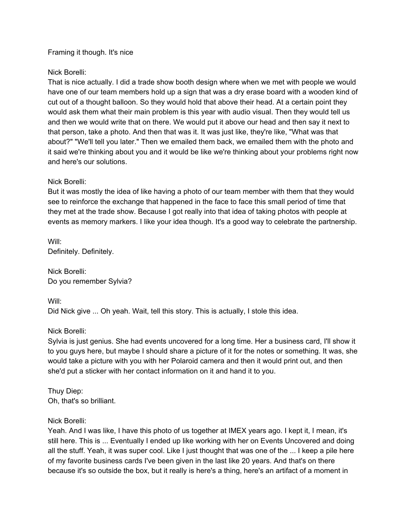#### Framing it though. It's nice

#### Nick Borelli:

That is nice actually. I did a trade show booth design where when we met with people we would have one of our team members hold up a sign that was a dry erase board with a wooden kind of cut out of a thought balloon. So they would hold that above their head. At a certain point they would ask them what their main problem is this year with audio visual. Then they would tell us and then we would write that on there. We would put it above our head and then say it next to that person, take a photo. And then that was it. It was just like, they're like, "What was that about?" "We'll tell you later." Then we emailed them back, we emailed them with the photo and it said we're thinking about you and it would be like we're thinking about your problems right now and here's our solutions.

#### Nick Borelli:

But it was mostly the idea of like having a photo of our team member with them that they would see to reinforce the exchange that happened in the face to face this small period of time that they met at the trade show. Because I got really into that idea of taking photos with people at events as memory markers. I like your idea though. It's a good way to celebrate the partnership.

Will: Definitely. Definitely.

Nick Borelli: Do you remember Sylvia?

Will:

Did Nick give ... Oh yeah. Wait, tell this story. This is actually, I stole this idea.

## Nick Borelli:

Sylvia is just genius. She had events uncovered for a long time. Her a business card, I'll show it to you guys here, but maybe I should share a picture of it for the notes or something. It was, she would take a picture with you with her Polaroid camera and then it would print out, and then she'd put a sticker with her contact information on it and hand it to you.

Thuy Diep: Oh, that's so brilliant.

#### Nick Borelli:

Yeah. And I was like, I have this photo of us together at IMEX years ago. I kept it, I mean, it's still here. This is ... Eventually I ended up like working with her on Events Uncovered and doing all the stuff. Yeah, it was super cool. Like I just thought that was one of the ... I keep a pile here of my favorite business cards I've been given in the last like 20 years. And that's on there because it's so outside the box, but it really is here's a thing, here's an artifact of a moment in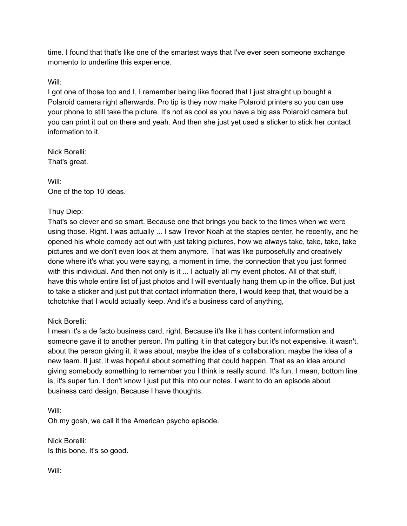time. I found that that's like one of the smartest ways that I've ever seen someone exchange momento to underline this experience.

## Will:

I got one of those too and I, I remember being like floored that I just straight up bought a Polaroid camera right afterwards. Pro tip is they now make Polaroid printers so you can use your phone to still take the picture. It's not as cool as you have a big ass Polaroid camera but you can print it out on there and yeah. And then she just yet used a sticker to stick her contact information to it.

Nick Borelli: That's great.

Will: One of the top 10 ideas.

## Thuy Diep:

That's so clever and so smart. Because one that brings you back to the times when we were using those. Right. I was actually ... I saw Trevor Noah at the staples center, he recently, and he opened his whole comedy act out with just taking pictures, how we always take, take, take, take pictures and we don't even look at them anymore. That was like purposefully and creatively done where it's what you were saying, a moment in time, the connection that you just formed with this individual. And then not only is it ... I actually all my event photos. All of that stuff, I have this whole entire list of just photos and I will eventually hang them up in the office. But just to take a sticker and just put that contact information there, I would keep that, that would be a tchotchke that I would actually keep. And it's a business card of anything,

## Nick Borelli:

I mean it's a de facto business card, right. Because it's like it has content information and someone gave it to another person. I'm putting it in that category but it's not expensive. it wasn't, about the person giving it. it was about, maybe the idea of a collaboration, maybe the idea of a new team. It just, it was hopeful about something that could happen. That as an idea around giving somebody something to remember you I think is really sound. It's fun. I mean, bottom line is, it's super fun. I don't know I just put this into our notes. I want to do an episode about business card design. Because I have thoughts.

Will: Oh my gosh, we call it the American psycho episode.

Nick Borelli: Is this bone. It's so good.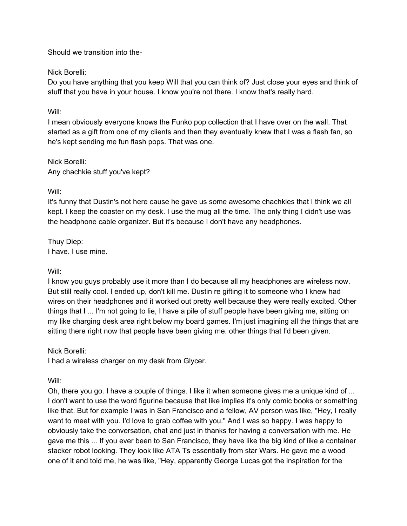Should we transition into the-

#### Nick Borelli:

Do you have anything that you keep Will that you can think of? Just close your eyes and think of stuff that you have in your house. I know you're not there. I know that's really hard.

### Will:

I mean obviously everyone knows the Funko pop collection that I have over on the wall. That started as a gift from one of my clients and then they eventually knew that I was a flash fan, so he's kept sending me fun flash pops. That was one.

Nick Borelli: Any chachkie stuff you've kept?

#### Will:

It's funny that Dustin's not here cause he gave us some awesome chachkies that I think we all kept. I keep the coaster on my desk. I use the mug all the time. The only thing I didn't use was the headphone cable organizer. But it's because I don't have any headphones.

Thuy Diep: I have. I use mine.

## Will:

I know you guys probably use it more than I do because all my headphones are wireless now. But still really cool. I ended up, don't kill me. Dustin re gifting it to someone who I knew had wires on their headphones and it worked out pretty well because they were really excited. Other things that I ... I'm not going to lie, I have a pile of stuff people have been giving me, sitting on my like charging desk area right below my board games. I'm just imagining all the things that are sitting there right now that people have been giving me. other things that I'd been given.

## Nick Borelli:

I had a wireless charger on my desk from Glycer.

## Will:

Oh, there you go. I have a couple of things. I like it when someone gives me a unique kind of ... I don't want to use the word figurine because that like implies it's only comic books or something like that. But for example I was in San Francisco and a fellow, AV person was like, "Hey, I really want to meet with you. I'd love to grab coffee with you." And I was so happy. I was happy to obviously take the conversation, chat and just in thanks for having a conversation with me. He gave me this ... If you ever been to San Francisco, they have like the big kind of like a container stacker robot looking. They look like ATA Ts essentially from star Wars. He gave me a wood one of it and told me, he was like, "Hey, apparently George Lucas got the inspiration for the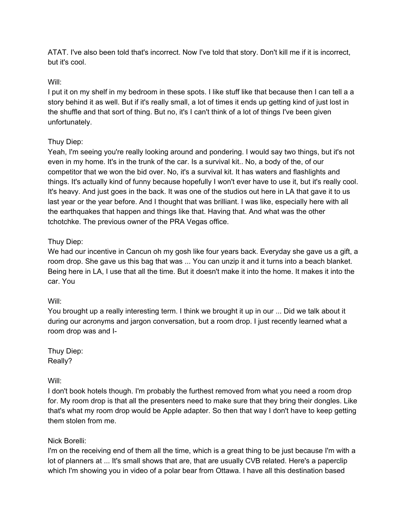ATAT. I've also been told that's incorrect. Now I've told that story. Don't kill me if it is incorrect, but it's cool.

# Will:

I put it on my shelf in my bedroom in these spots. I like stuff like that because then I can tell a a story behind it as well. But if it's really small, a lot of times it ends up getting kind of just lost in the shuffle and that sort of thing. But no, it's I can't think of a lot of things I've been given unfortunately.

# Thuy Diep:

Yeah, I'm seeing you're really looking around and pondering. I would say two things, but it's not even in my home. It's in the trunk of the car. Is a survival kit.. No, a body of the, of our competitor that we won the bid over. No, it's a survival kit. It has waters and flashlights and things. It's actually kind of funny because hopefully I won't ever have to use it, but it's really cool. It's heavy. And just goes in the back. It was one of the studios out here in LA that gave it to us last year or the year before. And I thought that was brilliant. I was like, especially here with all the earthquakes that happen and things like that. Having that. And what was the other tchotchke. The previous owner of the PRA Vegas office.

## Thuy Diep:

We had our incentive in Cancun oh my gosh like four years back. Everyday she gave us a gift, a room drop. She gave us this bag that was ... You can unzip it and it turns into a beach blanket. Being here in LA, I use that all the time. But it doesn't make it into the home. It makes it into the car. You

## Will:

You brought up a really interesting term. I think we brought it up in our ... Did we talk about it during our acronyms and jargon conversation, but a room drop. I just recently learned what a room drop was and I-

Thuy Diep: Really?

## Will:

I don't book hotels though. I'm probably the furthest removed from what you need a room drop for. My room drop is that all the presenters need to make sure that they bring their dongles. Like that's what my room drop would be Apple adapter. So then that way I don't have to keep getting them stolen from me.

## Nick Borelli:

I'm on the receiving end of them all the time, which is a great thing to be just because I'm with a lot of planners at ... It's small shows that are, that are usually CVB related. Here's a paperclip which I'm showing you in video of a polar bear from Ottawa. I have all this destination based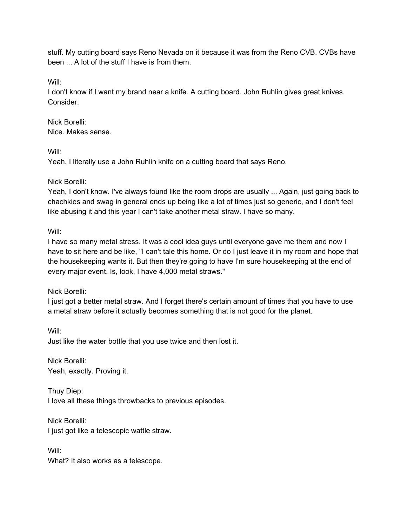stuff. My cutting board says Reno Nevada on it because it was from the Reno CVB. CVBs have been ... A lot of the stuff I have is from them.

Will:

I don't know if I want my brand near a knife. A cutting board. John Ruhlin gives great knives. Consider.

Nick Borelli: Nice. Makes sense.

Will:

Yeah. I literally use a John Ruhlin knife on a cutting board that says Reno.

## Nick Borelli:

Yeah, I don't know. I've always found like the room drops are usually ... Again, just going back to chachkies and swag in general ends up being like a lot of times just so generic, and I don't feel like abusing it and this year I can't take another metal straw. I have so many.

Will:

I have so many metal stress. It was a cool idea guys until everyone gave me them and now I have to sit here and be like, "I can't tale this home. Or do I just leave it in my room and hope that the housekeeping wants it. But then they're going to have I'm sure housekeeping at the end of every major event. Is, look, I have 4,000 metal straws."

Nick Borelli:

I just got a better metal straw. And I forget there's certain amount of times that you have to use a metal straw before it actually becomes something that is not good for the planet.

Will: Just like the water bottle that you use twice and then lost it.

Nick Borelli: Yeah, exactly. Proving it.

Thuy Diep: I love all these things throwbacks to previous episodes.

Nick Borelli: I just got like a telescopic wattle straw.

Will: What? It also works as a telescope.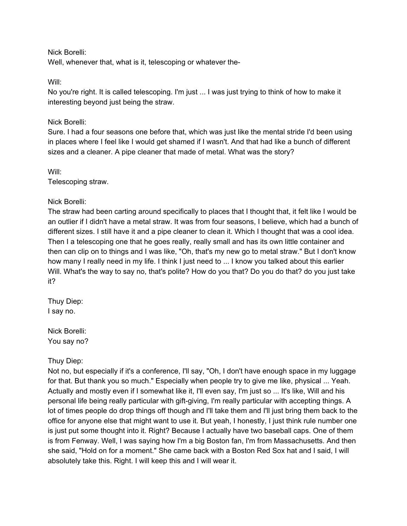Nick Borelli:

Well, whenever that, what is it, telescoping or whatever the-

Will:

No you're right. It is called telescoping. I'm just ... I was just trying to think of how to make it interesting beyond just being the straw.

### Nick Borelli:

Sure. I had a four seasons one before that, which was just like the mental stride I'd been using in places where I feel like I would get shamed if I wasn't. And that had like a bunch of different sizes and a cleaner. A pipe cleaner that made of metal. What was the story?

Will:

Telescoping straw.

#### Nick Borelli:

The straw had been carting around specifically to places that I thought that, it felt like I would be an outlier if I didn't have a metal straw. It was from four seasons, I believe, which had a bunch of different sizes. I still have it and a pipe cleaner to clean it. Which I thought that was a cool idea. Then I a telescoping one that he goes really, really small and has its own little container and then can clip on to things and I was like, "Oh, that's my new go to metal straw." But I don't know how many I really need in my life. I think I just need to ... I know you talked about this earlier Will. What's the way to say no, that's polite? How do you that? Do you do that? do you just take it?

Thuy Diep: I say no.

Nick Borelli: You say no?

Thuy Diep:

Not no, but especially if it's a conference, I'll say, "Oh, I don't have enough space in my luggage for that. But thank you so much." Especially when people try to give me like, physical ... Yeah. Actually and mostly even if I somewhat like it, I'll even say, I'm just so ... It's like, Will and his personal life being really particular with gift-giving, I'm really particular with accepting things. A lot of times people do drop things off though and I'll take them and I'll just bring them back to the office for anyone else that might want to use it. But yeah, I honestly, I just think rule number one is just put some thought into it. Right? Because I actually have two baseball caps. One of them is from Fenway. Well, I was saying how I'm a big Boston fan, I'm from Massachusetts. And then she said, "Hold on for a moment." She came back with a Boston Red Sox hat and I said, I will absolutely take this. Right. I will keep this and I will wear it.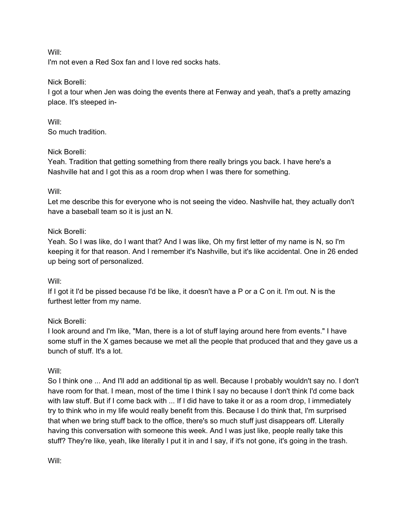Will:

I'm not even a Red Sox fan and I love red socks hats.

## Nick Borelli:

I got a tour when Jen was doing the events there at Fenway and yeah, that's a pretty amazing place. It's steeped in-

Will: So much tradition.

## Nick Borelli:

Yeah. Tradition that getting something from there really brings you back. I have here's a Nashville hat and I got this as a room drop when I was there for something.

## Will:

Let me describe this for everyone who is not seeing the video. Nashville hat, they actually don't have a baseball team so it is just an N.

## Nick Borelli:

Yeah. So I was like, do I want that? And I was like, Oh my first letter of my name is N, so I'm keeping it for that reason. And I remember it's Nashville, but it's like accidental. One in 26 ended up being sort of personalized.

## Will:

If I got it I'd be pissed because I'd be like, it doesn't have a P or a C on it. I'm out. N is the furthest letter from my name.

## Nick Borelli:

I look around and I'm like, "Man, there is a lot of stuff laying around here from events." I have some stuff in the X games because we met all the people that produced that and they gave us a bunch of stuff. It's a lot.

# Will:

So I think one ... And I'll add an additional tip as well. Because I probably wouldn't say no. I don't have room for that. I mean, most of the time I think I say no because I don't think I'd come back with law stuff. But if I come back with ... If I did have to take it or as a room drop, I immediately try to think who in my life would really benefit from this. Because I do think that, I'm surprised that when we bring stuff back to the office, there's so much stuff just disappears off. Literally having this conversation with someone this week. And I was just like, people really take this stuff? They're like, yeah, like literally I put it in and I say, if it's not gone, it's going in the trash.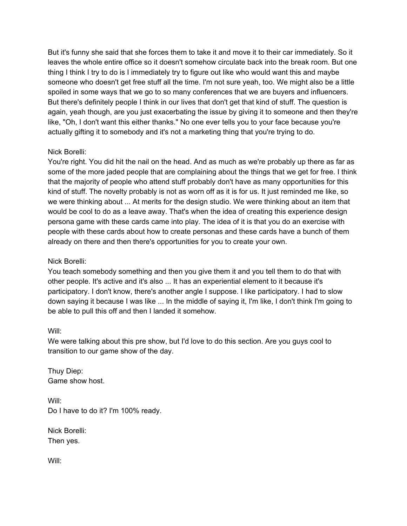But it's funny she said that she forces them to take it and move it to their car immediately. So it leaves the whole entire office so it doesn't somehow circulate back into the break room. But one thing I think I try to do is I immediately try to figure out like who would want this and maybe someone who doesn't get free stuff all the time. I'm not sure yeah, too. We might also be a little spoiled in some ways that we go to so many conferences that we are buyers and influencers. But there's definitely people I think in our lives that don't get that kind of stuff. The question is again, yeah though, are you just exacerbating the issue by giving it to someone and then they're like, "Oh, I don't want this either thanks." No one ever tells you to your face because you're actually gifting it to somebody and it's not a marketing thing that you're trying to do.

## Nick Borelli:

You're right. You did hit the nail on the head. And as much as we're probably up there as far as some of the more jaded people that are complaining about the things that we get for free. I think that the majority of people who attend stuff probably don't have as many opportunities for this kind of stuff. The novelty probably is not as worn off as it is for us. It just reminded me like, so we were thinking about ... At merits for the design studio. We were thinking about an item that would be cool to do as a leave away. That's when the idea of creating this experience design persona game with these cards came into play. The idea of it is that you do an exercise with people with these cards about how to create personas and these cards have a bunch of them already on there and then there's opportunities for you to create your own.

## Nick Borelli:

You teach somebody something and then you give them it and you tell them to do that with other people. It's active and it's also ... It has an experiential element to it because it's participatory. I don't know, there's another angle I suppose. I like participatory. I had to slow down saying it because I was like ... In the middle of saying it, I'm like, I don't think I'm going to be able to pull this off and then I landed it somehow.

## Will:

We were talking about this pre show, but I'd love to do this section. Are you guys cool to transition to our game show of the day.

Thuy Diep: Game show host.

Will: Do I have to do it? I'm 100% ready.

Nick Borelli: Then yes.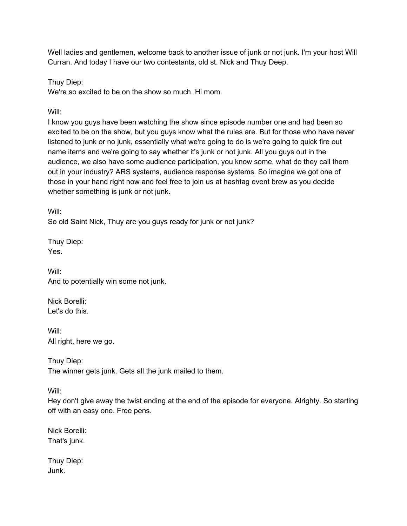Well ladies and gentlemen, welcome back to another issue of junk or not junk. I'm your host Will Curran. And today I have our two contestants, old st. Nick and Thuy Deep.

Thuy Diep:

We're so excited to be on the show so much. Hi mom.

Will:

I know you guys have been watching the show since episode number one and had been so excited to be on the show, but you guys know what the rules are. But for those who have never listened to junk or no junk, essentially what we're going to do is we're going to quick fire out name items and we're going to say whether it's junk or not junk. All you guys out in the audience, we also have some audience participation, you know some, what do they call them out in your industry? ARS systems, audience response systems. So imagine we got one of those in your hand right now and feel free to join us at hashtag event brew as you decide whether something is junk or not junk.

Will:

So old Saint Nick, Thuy are you guys ready for junk or not junk?

Thuy Diep: Yes.

Will: And to potentially win some not junk.

Nick Borelli: Let's do this.

Will: All right, here we go.

Thuy Diep: The winner gets junk. Gets all the junk mailed to them.

Will:

Hey don't give away the twist ending at the end of the episode for everyone. Alrighty. So starting off with an easy one. Free pens.

Nick Borelli: That's junk.

Thuy Diep: Junk.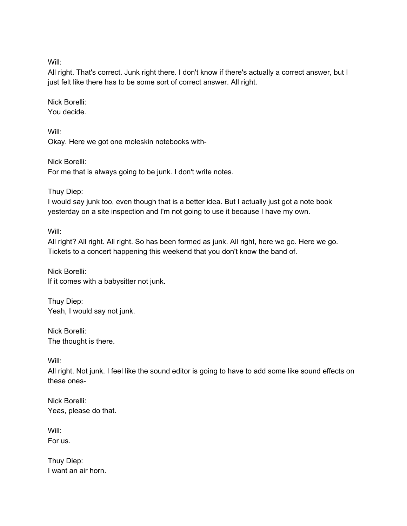Will:

All right. That's correct. Junk right there. I don't know if there's actually a correct answer, but I just felt like there has to be some sort of correct answer. All right.

Nick Borelli: You decide.

Will: Okay. Here we got one moleskin notebooks with-

Nick Borelli: For me that is always going to be junk. I don't write notes.

Thuy Diep:

I would say junk too, even though that is a better idea. But I actually just got a note book yesterday on a site inspection and I'm not going to use it because I have my own.

Will:

All right? All right. All right. So has been formed as junk. All right, here we go. Here we go. Tickets to a concert happening this weekend that you don't know the band of.

Nick Borelli: If it comes with a babysitter not junk.

Thuy Diep: Yeah, I would say not junk.

Nick Borelli: The thought is there.

Will:

All right. Not junk. I feel like the sound editor is going to have to add some like sound effects on these ones-

Nick Borelli: Yeas, please do that.

Will: For us.

Thuy Diep: I want an air horn.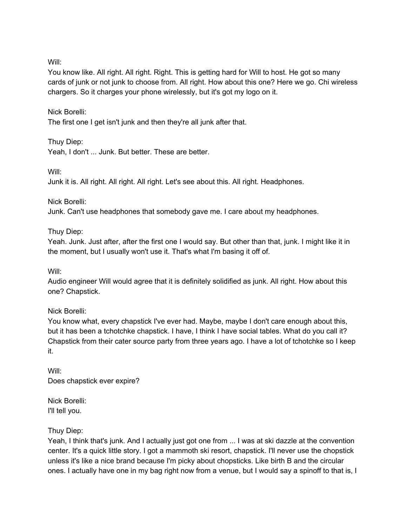Will:

You know like. All right. All right. Right. This is getting hard for Will to host. He got so many cards of junk or not junk to choose from. All right. How about this one? Here we go. Chi wireless chargers. So it charges your phone wirelessly, but it's got my logo on it.

## Nick Borelli:

The first one I get isn't junk and then they're all junk after that.

## Thuy Diep:

Yeah, I don't ... Junk. But better. These are better.

Will:

Junk it is. All right. All right. All right. Let's see about this. All right. Headphones.

Nick Borelli:

Junk. Can't use headphones that somebody gave me. I care about my headphones.

Thuy Diep:

Yeah. Junk. Just after, after the first one I would say. But other than that, junk. I might like it in the moment, but I usually won't use it. That's what I'm basing it off of.

Will:

Audio engineer Will would agree that it is definitely solidified as junk. All right. How about this one? Chapstick.

## Nick Borelli:

You know what, every chapstick I've ever had. Maybe, maybe I don't care enough about this, but it has been a tchotchke chapstick. I have, I think I have social tables. What do you call it? Chapstick from their cater source party from three years ago. I have a lot of tchotchke so I keep it.

Will: Does chapstick ever expire?

Nick Borelli: I'll tell you.

## Thuy Diep:

Yeah, I think that's junk. And I actually just got one from ... I was at ski dazzle at the convention center. It's a quick little story. I got a mammoth ski resort, chapstick. I'll never use the chopstick unless it's like a nice brand because I'm picky about chopsticks. Like birth B and the circular ones. I actually have one in my bag right now from a venue, but I would say a spinoff to that is, I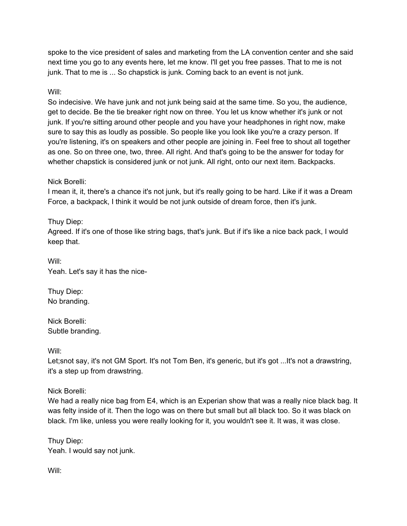spoke to the vice president of sales and marketing from the LA convention center and she said next time you go to any events here, let me know. I'll get you free passes. That to me is not junk. That to me is ... So chapstick is junk. Coming back to an event is not junk.

## Will:

So indecisive. We have junk and not junk being said at the same time. So you, the audience, get to decide. Be the tie breaker right now on three. You let us know whether it's junk or not junk. If you're sitting around other people and you have your headphones in right now, make sure to say this as loudly as possible. So people like you look like you're a crazy person. If you're listening, it's on speakers and other people are joining in. Feel free to shout all together as one. So on three one, two, three. All right. And that's going to be the answer for today for whether chapstick is considered junk or not junk. All right, onto our next item. Backpacks.

## Nick Borelli:

I mean it, it, there's a chance it's not junk, but it's really going to be hard. Like if it was a Dream Force, a backpack, I think it would be not junk outside of dream force, then it's junk.

# Thuy Diep:

Agreed. If it's one of those like string bags, that's junk. But if it's like a nice back pack, I would keep that.

Will: Yeah. Let's say it has the nice-

Thuy Diep: No branding.

Nick Borelli: Subtle branding.

Will:

Let;snot say, it's not GM Sport. It's not Tom Ben, it's generic, but it's got ...It's not a drawstring, it's a step up from drawstring.

Nick Borelli:

We had a really nice bag from E4, which is an Experian show that was a really nice black bag. It was felty inside of it. Then the logo was on there but small but all black too. So it was black on black. I'm like, unless you were really looking for it, you wouldn't see it. It was, it was close.

Thuy Diep: Yeah. I would say not junk.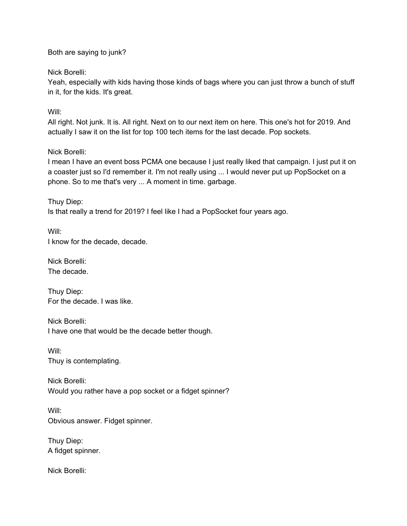Both are saying to junk?

Nick Borelli:

Yeah, especially with kids having those kinds of bags where you can just throw a bunch of stuff in it, for the kids. It's great.

Will:

All right. Not junk. It is. All right. Next on to our next item on here. This one's hot for 2019. And actually I saw it on the list for top 100 tech items for the last decade. Pop sockets.

## Nick Borelli:

I mean I have an event boss PCMA one because I just really liked that campaign. I just put it on a coaster just so I'd remember it. I'm not really using ... I would never put up PopSocket on a phone. So to me that's very ... A moment in time. garbage.

Thuy Diep: Is that really a trend for 2019? I feel like I had a PopSocket four years ago.

Will: I know for the decade, decade.

Nick Borelli: The decade.

Thuy Diep: For the decade. I was like.

Nick Borelli: I have one that would be the decade better though.

Will: Thuy is contemplating.

Nick Borelli: Would you rather have a pop socket or a fidget spinner?

Will: Obvious answer. Fidget spinner.

Thuy Diep: A fidget spinner.

Nick Borelli: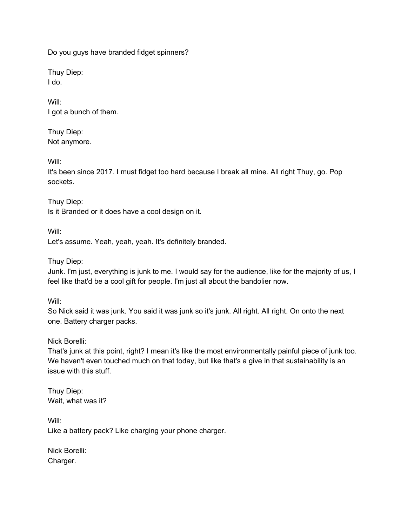Do you guys have branded fidget spinners?

Thuy Diep: I do.

Will: I got a bunch of them.

Thuy Diep: Not anymore.

Will:

It's been since 2017. I must fidget too hard because I break all mine. All right Thuy, go. Pop sockets.

Thuy Diep: Is it Branded or it does have a cool design on it.

Will: Let's assume. Yeah, yeah, yeah. It's definitely branded.

Thuy Diep:

Junk. I'm just, everything is junk to me. I would say for the audience, like for the majority of us, I feel like that'd be a cool gift for people. I'm just all about the bandolier now.

Will:

So Nick said it was junk. You said it was junk so it's junk. All right. All right. On onto the next one. Battery charger packs.

Nick Borelli:

That's junk at this point, right? I mean it's like the most environmentally painful piece of junk too. We haven't even touched much on that today, but like that's a give in that sustainability is an issue with this stuff.

Thuy Diep: Wait, what was it?

Will: Like a battery pack? Like charging your phone charger.

Nick Borelli: Charger.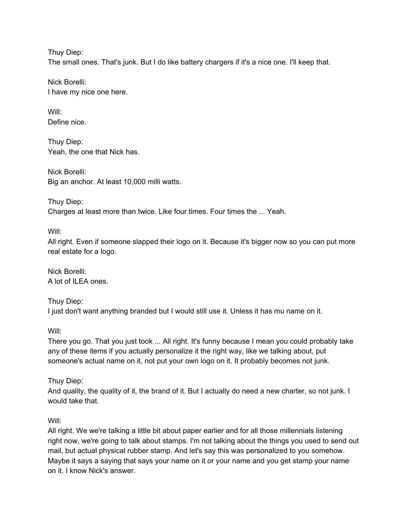Thuy Diep: The small ones. That's junk. But I do like battery chargers if it's a nice one. I'll keep that.

Nick Borelli: I have my nice one here.

Will: Define nice.

Thuy Diep: Yeah, the one that Nick has.

Nick Borelli: Big an anchor. At least 10,000 milli watts.

Thuy Diep: Charges at least more than twice. Like four times. Four times the ... Yeah.

Will:

All right. Even if someone slapped their logo on it. Because it's bigger now so you can put more real estate for a logo.

Nick Borelli: A lot of ILEA ones.

Thuy Diep: I just don't want anything branded but I would still use it. Unless it has mu name on it.

Will:

There you go. That you just took ... All right. It's funny because I mean you could probably take any of these items if you actually personalize it the right way, like we talking about, put someone's actual name on it, not put your own logo on it. It probably becomes not junk.

Thuy Diep:

And quality, the quality of it, the brand of it. But I actually do need a new charter, so not junk. I would take that.

Will:

All right. We we're talking a little bit about paper earlier and for all those millennials listening right now, we're going to talk about stamps. I'm not talking about the things you used to send out mail, but actual physical rubber stamp. And let's say this was personalized to you somehow. Maybe it says a saying that says your name on it or your name and you get stamp your name on it. I know Nick's answer.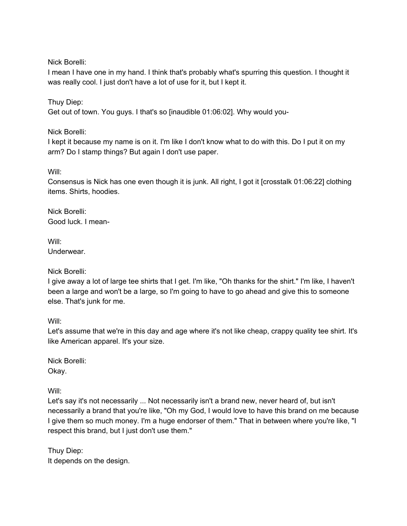Nick Borelli:

I mean I have one in my hand. I think that's probably what's spurring this question. I thought it was really cool. I just don't have a lot of use for it, but I kept it.

Thuy Diep:

Get out of town. You guys. I that's so [inaudible 01:06:02]. Why would you-

Nick Borelli:

I kept it because my name is on it. I'm like I don't know what to do with this. Do I put it on my arm? Do I stamp things? But again I don't use paper.

Will:

Consensus is Nick has one even though it is junk. All right, I got it [crosstalk 01:06:22] clothing items. Shirts, hoodies.

Nick Borelli: Good luck. I mean-

Will: Underwear.

Nick Borelli:

I give away a lot of large tee shirts that I get. I'm like, "Oh thanks for the shirt." I'm like, I haven't been a large and won't be a large, so I'm going to have to go ahead and give this to someone else. That's junk for me.

Will:

Let's assume that we're in this day and age where it's not like cheap, crappy quality tee shirt. It's like American apparel. It's your size.

Nick Borelli: Okay.

Will:

Let's say it's not necessarily ... Not necessarily isn't a brand new, never heard of, but isn't necessarily a brand that you're like, "Oh my God, I would love to have this brand on me because I give them so much money. I'm a huge endorser of them." That in between where you're like, "I respect this brand, but I just don't use them."

Thuy Diep: It depends on the design.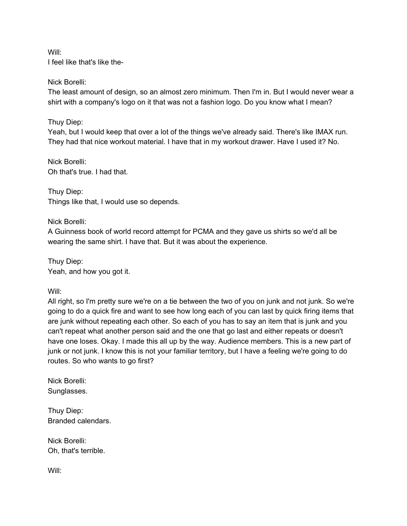Will: I feel like that's like the-

#### Nick Borelli:

The least amount of design, so an almost zero minimum. Then I'm in. But I would never wear a shirt with a company's logo on it that was not a fashion logo. Do you know what I mean?

## Thuy Diep:

Yeah, but I would keep that over a lot of the things we've already said. There's like IMAX run. They had that nice workout material. I have that in my workout drawer. Have I used it? No.

Nick Borelli: Oh that's true. I had that.

Thuy Diep: Things like that, I would use so depends.

Nick Borelli:

A Guinness book of world record attempt for PCMA and they gave us shirts so we'd all be wearing the same shirt. I have that. But it was about the experience.

Thuy Diep: Yeah, and how you got it.

Will:

All right, so I'm pretty sure we're on a tie between the two of you on junk and not junk. So we're going to do a quick fire and want to see how long each of you can last by quick firing items that are junk without repeating each other. So each of you has to say an item that is junk and you can't repeat what another person said and the one that go last and either repeats or doesn't have one loses. Okay. I made this all up by the way. Audience members. This is a new part of junk or not junk. I know this is not your familiar territory, but I have a feeling we're going to do routes. So who wants to go first?

Nick Borelli: Sunglasses.

Thuy Diep: Branded calendars.

Nick Borelli: Oh, that's terrible.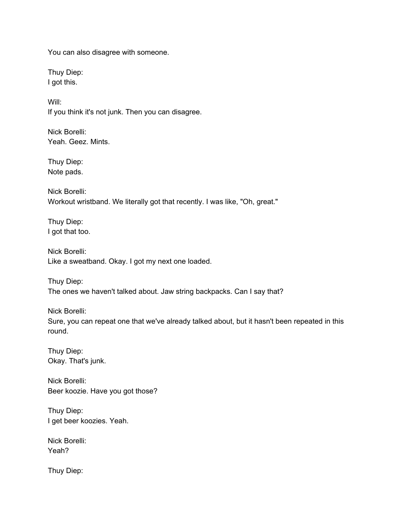You can also disagree with someone.

Thuy Diep: I got this.

Will: If you think it's not junk. Then you can disagree.

Nick Borelli: Yeah. Geez. Mints.

Thuy Diep: Note pads.

Nick Borelli: Workout wristband. We literally got that recently. I was like, "Oh, great."

Thuy Diep: I got that too.

Nick Borelli: Like a sweatband. Okay. I got my next one loaded.

Thuy Diep: The ones we haven't talked about. Jaw string backpacks. Can I say that?

Nick Borelli: Sure, you can repeat one that we've already talked about, but it hasn't been repeated in this round.

Thuy Diep: Okay. That's junk.

Nick Borelli: Beer koozie. Have you got those?

Thuy Diep: I get beer koozies. Yeah.

Nick Borelli: Yeah?

Thuy Diep: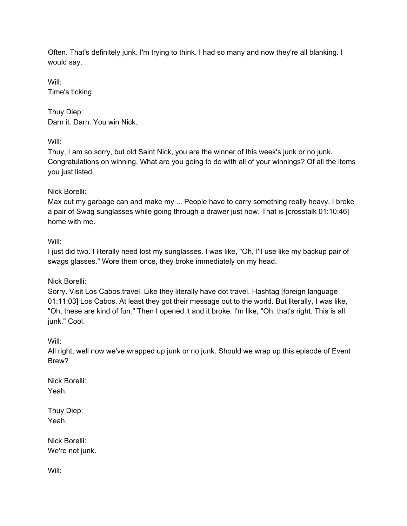Often. That's definitely junk. I'm trying to think. I had so many and now they're all blanking. I would say.

Will: Time's ticking.

Thuy Diep: Darn it. Darn. You win Nick.

Will:

Thuy, I am so sorry, but old Saint Nick, you are the winner of this week's junk or no junk. Congratulations on winning. What are you going to do with all of your winnings? Of all the items you just listed.

Nick Borelli:

Max out my garbage can and make my ... People have to carry something really heavy. I broke a pair of Swag sunglasses while going through a drawer just now. That is [crosstalk 01:10:46] home with me.

# Will:

I just did two. I literally need lost my sunglasses. I was like, "Oh, I'll use like my backup pair of swags glasses." Wore them once, they broke immediately on my head.

Nick Borelli:

Sorry. Visit Los Cabos.travel. Like they literally have dot travel. Hashtag [foreign language 01:11:03] Los Cabos. At least they got their message out to the world. But literally, I was like, "Oh, these are kind of fun." Then I opened it and it broke. I'm like, "Oh, that's right. This is all junk." Cool.

Will:

All right, well now we've wrapped up junk or no junk. Should we wrap up this episode of Event Brew?

Nick Borelli: Yeah.

Thuy Diep: Yeah.

Nick Borelli: We're not junk.